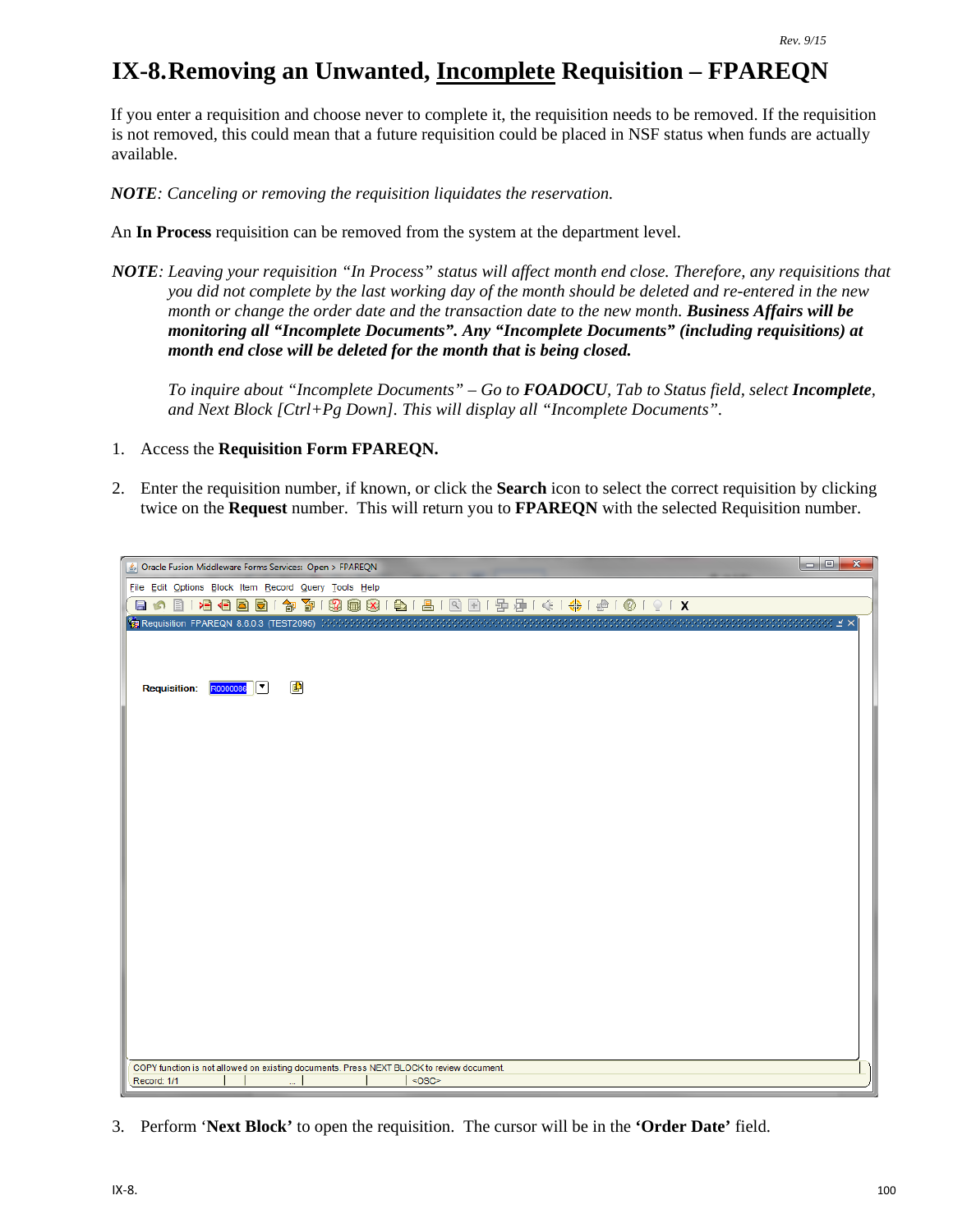## **IX-8.Removing an Unwanted, Incomplete Requisition – FPAREQN**

If you enter a requisition and choose never to complete it, the requisition needs to be removed. If the requisition is not removed, this could mean that a future requisition could be placed in NSF status when funds are actually available.

*NOTE: Canceling or removing the requisition liquidates the reservation.*

An **In Process** requisition can be removed from the system at the department level.

*NOTE: Leaving your requisition "In Process" status will affect month end close. Therefore, any requisitions that you did not complete by the last working day of the month should be deleted and re-entered in the new month or change the order date and the transaction date to the new month. Business Affairs will be monitoring all "Incomplete Documents". Any "Incomplete Documents" (including requisitions) at month end close will be deleted for the month that is being closed.*

*To inquire about "Incomplete Documents" – Go to FOADOCU, Tab to Status field, select Incomplete, and Next Block [Ctrl+Pg Down]. This will display all "Incomplete Documents".*

- 1. Access the **Requisition Form FPAREQN.**
- 2. Enter the requisition number, if known, or click the **Search** icon to select the correct requisition by clicking twice on the **Request** number. This will return you to **FPAREQN** with the selected Requisition number.

|                                                                                          |          |                |          |  |  |  | $\overline{\mathbf{x}}$<br>lo Bi |
|------------------------------------------------------------------------------------------|----------|----------------|----------|--|--|--|----------------------------------|
| Oracle Fusion Middleware Forms Services: Open > FPAREQN                                  |          |                |          |  |  |  |                                  |
| File Edit Options Block Item Record Query Tools Help                                     |          |                |          |  |  |  |                                  |
| 目の                                                                                       |          |                |          |  |  |  |                                  |
|                                                                                          |          |                |          |  |  |  |                                  |
|                                                                                          |          |                |          |  |  |  |                                  |
|                                                                                          |          |                |          |  |  |  |                                  |
| <b>Requisition:</b>                                                                      | R0000086 | $\blacksquare$ |          |  |  |  |                                  |
|                                                                                          |          |                |          |  |  |  |                                  |
|                                                                                          |          |                |          |  |  |  |                                  |
|                                                                                          |          |                |          |  |  |  |                                  |
|                                                                                          |          |                |          |  |  |  |                                  |
|                                                                                          |          |                |          |  |  |  |                                  |
|                                                                                          |          |                |          |  |  |  |                                  |
|                                                                                          |          |                |          |  |  |  |                                  |
|                                                                                          |          |                |          |  |  |  |                                  |
|                                                                                          |          |                |          |  |  |  |                                  |
|                                                                                          |          |                |          |  |  |  |                                  |
|                                                                                          |          |                |          |  |  |  |                                  |
|                                                                                          |          |                |          |  |  |  |                                  |
|                                                                                          |          |                |          |  |  |  |                                  |
|                                                                                          |          |                |          |  |  |  |                                  |
|                                                                                          |          |                |          |  |  |  |                                  |
|                                                                                          |          |                |          |  |  |  |                                  |
|                                                                                          |          |                |          |  |  |  |                                  |
|                                                                                          |          |                |          |  |  |  |                                  |
|                                                                                          |          |                |          |  |  |  |                                  |
|                                                                                          |          |                |          |  |  |  |                                  |
| COPY function is not allowed on existing documents. Press NEXT BLOCK to review document. |          |                |          |  |  |  |                                  |
| Record: 1/1                                                                              |          |                | $<$ OSC> |  |  |  |                                  |

3. Perform '**Next Block'** to open the requisition. The cursor will be in the **'Order Date'** field.